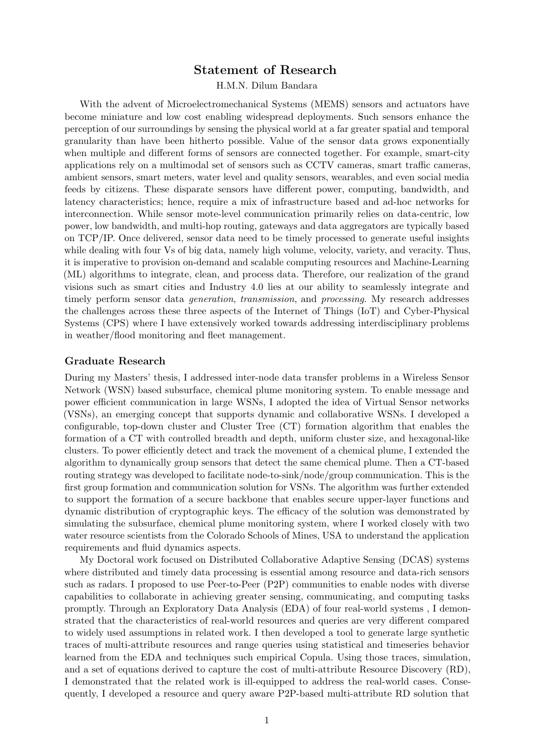# Statement of Research

H.M.N. Dilum Bandara

With the advent of Microelectromechanical Systems (MEMS) sensors and actuators have become miniature and low cost enabling widespread deployments. Such sensors enhance the perception of our surroundings by sensing the physical world at a far greater spatial and temporal granularity than have been hitherto possible. Value of the sensor data grows exponentially when multiple and different forms of sensors are connected together. For example, smart-city applications rely on a multimodal set of sensors such as CCTV cameras, smart traffic cameras, ambient sensors, smart meters, water level and quality sensors, wearables, and even social media feeds by citizens. These disparate sensors have different power, computing, bandwidth, and latency characteristics; hence, require a mix of infrastructure based and ad-hoc networks for interconnection. While sensor mote-level communication primarily relies on data-centric, low power, low bandwidth, and multi-hop routing, gateways and data aggregators are typically based on TCP/IP. Once delivered, sensor data need to be timely processed to generate useful insights while dealing with four Vs of big data, namely high volume, velocity, variety, and veracity. Thus, it is imperative to provision on-demand and scalable computing resources and Machine-Learning (ML) algorithms to integrate, clean, and process data. Therefore, our realization of the grand visions such as smart cities and Industry 4.0 lies at our ability to seamlessly integrate and timely perform sensor data generation, transmission, and processing. My research addresses the challenges across these three aspects of the Internet of Things (IoT) and Cyber-Physical Systems (CPS) where I have extensively worked towards addressing interdisciplinary problems in weather/flood monitoring and fleet management.

## Graduate Research

During my Masters' thesis, I addressed inter-node data transfer problems in a Wireless Sensor Network (WSN) based subsurface, chemical plume monitoring system. To enable message and power efficient communication in large WSNs, I adopted the idea of Virtual Sensor networks (VSNs), an emerging concept that supports dynamic and collaborative WSNs. I developed a configurable, top-down cluster and Cluster Tree (CT) formation algorithm that enables the formation of a CT with controlled breadth and depth, uniform cluster size, and hexagonal-like clusters. To power efficiently detect and track the movement of a chemical plume, I extended the algorithm to dynamically group sensors that detect the same chemical plume. Then a CT-based routing strategy was developed to facilitate node-to-sink/node/group communication. This is the first group formation and communication solution for VSNs. The algorithm was further extended to support the formation of a secure backbone that enables secure upper-layer functions and dynamic distribution of cryptographic keys. The efficacy of the solution was demonstrated by simulating the subsurface, chemical plume monitoring system, where I worked closely with two water resource scientists from the Colorado Schools of Mines, USA to understand the application requirements and fluid dynamics aspects.

My Doctoral work focused on Distributed Collaborative Adaptive Sensing (DCAS) systems where distributed and timely data processing is essential among resource and data-rich sensors such as radars. I proposed to use Peer-to-Peer (P2P) communities to enable nodes with diverse capabilities to collaborate in achieving greater sensing, communicating, and computing tasks promptly. Through an Exploratory Data Analysis (EDA) of four real-world systems , I demonstrated that the characteristics of real-world resources and queries are very different compared to widely used assumptions in related work. I then developed a tool to generate large synthetic traces of multi-attribute resources and range queries using statistical and timeseries behavior learned from the EDA and techniques such empirical Copula. Using those traces, simulation, and a set of equations derived to capture the cost of multi-attribute Resource Discovery (RD), I demonstrated that the related work is ill-equipped to address the real-world cases. Consequently, I developed a resource and query aware P2P-based multi-attribute RD solution that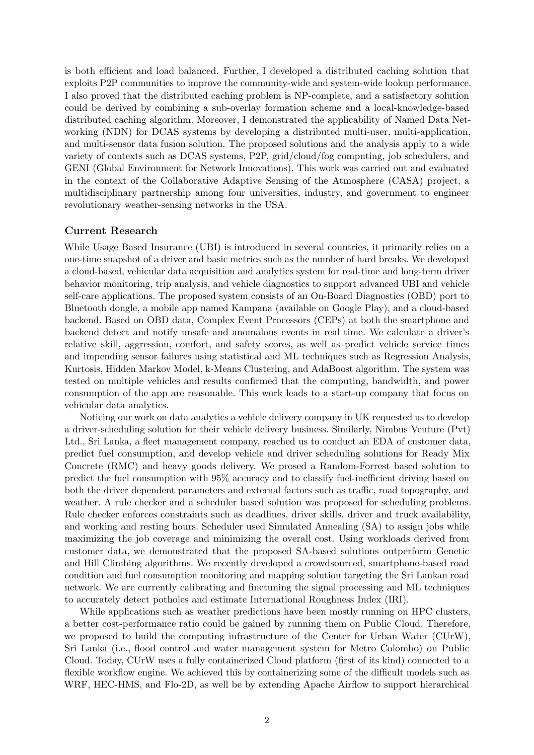is both efficient and load balanced. Further, I developed a distributed caching solution that exploits P2P communities to improve the community-wide and system-wide lookup performance. I also proved that the distributed caching problem is NP-complete, and a satisfactory solution could be derived by combining a sub-overlay formation scheme and a local-knowledge-based distributed caching algorithm. Moreover, I demonstrated the applicability of Named Data Networking (NDN) for DCAS systems by developing a distributed multi-user, multi-application, and multi-sensor data fusion solution. The proposed solutions and the analysis apply to a wide variety of contexts such as DCAS systems, P2P, grid/cloud/fog computing, job schedulers, and GENI (Global Environment for Network Innovations). This work was carried out and evaluated in the context of the Collaborative Adaptive Sensing of the Atmosphere (CASA) project, a multidisciplinary partnership among four universities, industry, and government to engineer revolutionary weather-sensing networks in the USA.

## Current Research

While Usage Based Insurance (UBI) is introduced in several countries, it primarily relies on a one-time snapshot of a driver and basic metrics such as the number of hard breaks. We developed a cloud-based, vehicular data acquisition and analytics system for real-time and long-term driver behavior monitoring, trip analysis, and vehicle diagnostics to support advanced UBI and vehicle self-care applications. The proposed system consists of an On-Board Diagnostics (OBD) port to Bluetooth dongle, a mobile app named Kampana (available on Google Play), and a cloud-based backend. Based on OBD data, Complex Event Processors (CEPs) at both the smartphone and backend detect and notify unsafe and anomalous events in real time. We calculate a driver's relative skill, aggression, comfort, and safety scores, as well as predict vehicle service times and impending sensor failures using statistical and ML techniques such as Regression Analysis, Kurtosis, Hidden Markov Model, k-Means Clustering, and AdaBoost algorithm. The system was tested on multiple vehicles and results confirmed that the computing, bandwidth, and power consumption of the app are reasonable. This work leads to a start-up company that focus on vehicular data analytics.

Noticing our work on data analytics a vehicle delivery company in UK requested us to develop a driver-scheduling solution for their vehicle delivery business. Similarly, Nimbus Venture (Pvt) Ltd., Sri Lanka, a fleet management company, reached us to conduct an EDA of customer data, predict fuel consumption, and develop vehicle and driver scheduling solutions for Ready Mix Concrete (RMC) and heavy goods delivery. We prosed a Random-Forrest based solution to predict the fuel consumption with 95% accuracy and to classify fuel-inefficient driving based on both the driver dependent parameters and external factors such as traffic, road topography, and weather. A rule checker and a scheduler based solution was proposed for scheduling problems. Rule checker enforces constraints such as deadlines, driver skills, driver and truck availability, and working and resting hours. Scheduler used Simulated Annealing (SA) to assign jobs while maximizing the job coverage and minimizing the overall cost. Using workloads derived from customer data, we demonstrated that the proposed SA-based solutions outperform Genetic and Hill Climbing algorithms. We recently developed a crowdsourced, smartphone-based road condition and fuel consumption monitoring and mapping solution targeting the Sri Lankan road network. We are currently calibrating and finetuning the signal processing and ML techniques to accurately detect potholes and estimate International Roughness Index (IRI).

While applications such as weather predictions have been mostly running on HPC clusters, a better cost-performance ratio could be gained by running them on Public Cloud. Therefore, we proposed to build the computing infrastructure of the Center for Urban Water (CUrW), Sri Lanka (i.e., flood control and water management system for Metro Colombo) on Public Cloud. Today, CUrW uses a fully containerized Cloud platform (first of its kind) connected to a flexible workflow engine. We achieved this by containerizing some of the difficult models such as WRF, HEC-HMS, and Flo-2D, as well be by extending Apache Airflow to support hierarchical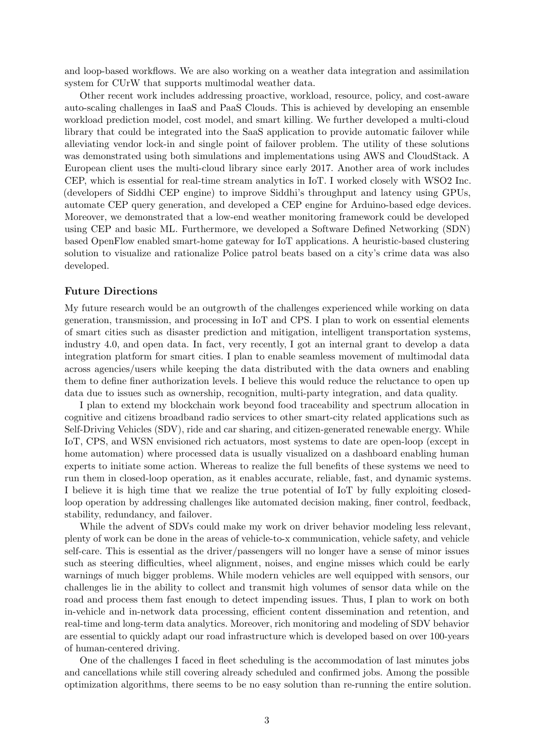and loop-based workflows. We are also working on a weather data integration and assimilation system for CUrW that supports multimodal weather data.

Other recent work includes addressing proactive, workload, resource, policy, and cost-aware auto-scaling challenges in IaaS and PaaS Clouds. This is achieved by developing an ensemble workload prediction model, cost model, and smart killing. We further developed a multi-cloud library that could be integrated into the SaaS application to provide automatic failover while alleviating vendor lock-in and single point of failover problem. The utility of these solutions was demonstrated using both simulations and implementations using AWS and CloudStack. A European client uses the multi-cloud library since early 2017. Another area of work includes CEP, which is essential for real-time stream analytics in IoT. I worked closely with WSO2 Inc. (developers of Siddhi CEP engine) to improve Siddhi's throughput and latency using GPUs, automate CEP query generation, and developed a CEP engine for Arduino-based edge devices. Moreover, we demonstrated that a low-end weather monitoring framework could be developed using CEP and basic ML. Furthermore, we developed a Software Defined Networking (SDN) based OpenFlow enabled smart-home gateway for IoT applications. A heuristic-based clustering solution to visualize and rationalize Police patrol beats based on a city's crime data was also developed.

## Future Directions

My future research would be an outgrowth of the challenges experienced while working on data generation, transmission, and processing in IoT and CPS. I plan to work on essential elements of smart cities such as disaster prediction and mitigation, intelligent transportation systems, industry 4.0, and open data. In fact, very recently, I got an internal grant to develop a data integration platform for smart cities. I plan to enable seamless movement of multimodal data across agencies/users while keeping the data distributed with the data owners and enabling them to define finer authorization levels. I believe this would reduce the reluctance to open up data due to issues such as ownership, recognition, multi-party integration, and data quality.

I plan to extend my blockchain work beyond food traceability and spectrum allocation in cognitive and citizens broadband radio services to other smart-city related applications such as Self-Driving Vehicles (SDV), ride and car sharing, and citizen-generated renewable energy. While IoT, CPS, and WSN envisioned rich actuators, most systems to date are open-loop (except in home automation) where processed data is usually visualized on a dashboard enabling human experts to initiate some action. Whereas to realize the full benefits of these systems we need to run them in closed-loop operation, as it enables accurate, reliable, fast, and dynamic systems. I believe it is high time that we realize the true potential of IoT by fully exploiting closedloop operation by addressing challenges like automated decision making, finer control, feedback, stability, redundancy, and failover.

While the advent of SDVs could make my work on driver behavior modeling less relevant, plenty of work can be done in the areas of vehicle-to-x communication, vehicle safety, and vehicle self-care. This is essential as the driver/passengers will no longer have a sense of minor issues such as steering difficulties, wheel alignment, noises, and engine misses which could be early warnings of much bigger problems. While modern vehicles are well equipped with sensors, our challenges lie in the ability to collect and transmit high volumes of sensor data while on the road and process them fast enough to detect impending issues. Thus, I plan to work on both in-vehicle and in-network data processing, efficient content dissemination and retention, and real-time and long-term data analytics. Moreover, rich monitoring and modeling of SDV behavior are essential to quickly adapt our road infrastructure which is developed based on over 100-years of human-centered driving.

One of the challenges I faced in fleet scheduling is the accommodation of last minutes jobs and cancellations while still covering already scheduled and confirmed jobs. Among the possible optimization algorithms, there seems to be no easy solution than re-running the entire solution.